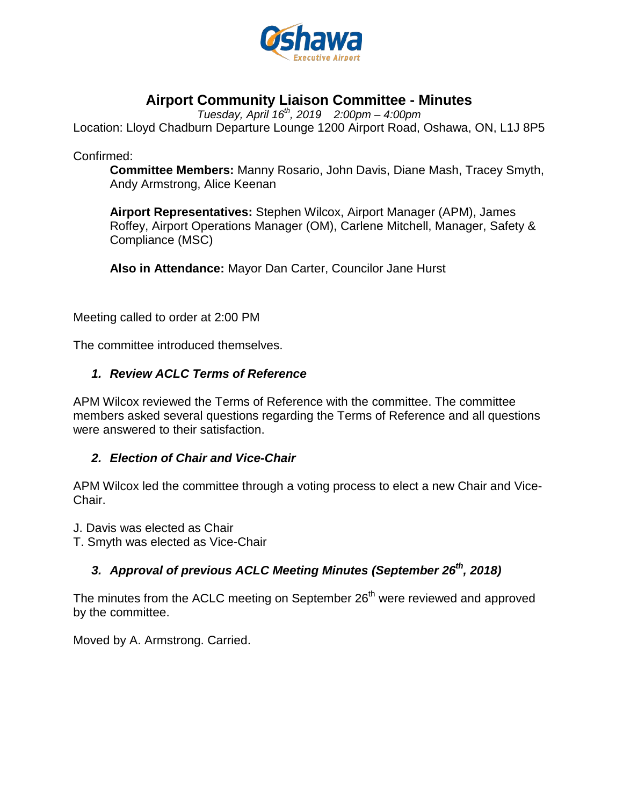

## **Airport Community Liaison Committee - Minutes**

*Tuesday, April 16 th , 2019 2:00pm – 4:00pm* 

Location: Lloyd Chadburn Departure Lounge 1200 Airport Road, Oshawa, ON, L1J 8P5

Confirmed:

**Committee Members:** Manny Rosario, John Davis, Diane Mash, Tracey Smyth, Andy Armstrong, Alice Keenan

**Airport Representatives:** Stephen Wilcox, Airport Manager (APM), James Roffey, Airport Operations Manager (OM), Carlene Mitchell, Manager, Safety & Compliance (MSC)

**Also in Attendance:** Mayor Dan Carter, Councilor Jane Hurst

Meeting called to order at 2:00 PM

The committee introduced themselves.

#### *1. Review ACLC Terms of Reference*

APM Wilcox reviewed the Terms of Reference with the committee. The committee members asked several questions regarding the Terms of Reference and all questions were answered to their satisfaction.

#### *2. Election of Chair and Vice-Chair*

APM Wilcox led the committee through a voting process to elect a new Chair and Vice-Chair.

J. Davis was elected as Chair

T. Smyth was elected as Vice-Chair

## 3. Approval of previous ACLC Meeting Minutes (September 26<sup>th</sup>, 2018)

The minutes from the ACLC meeting on September 26<sup>th</sup> were reviewed and approved by the committee.

Moved by A. Armstrong. Carried.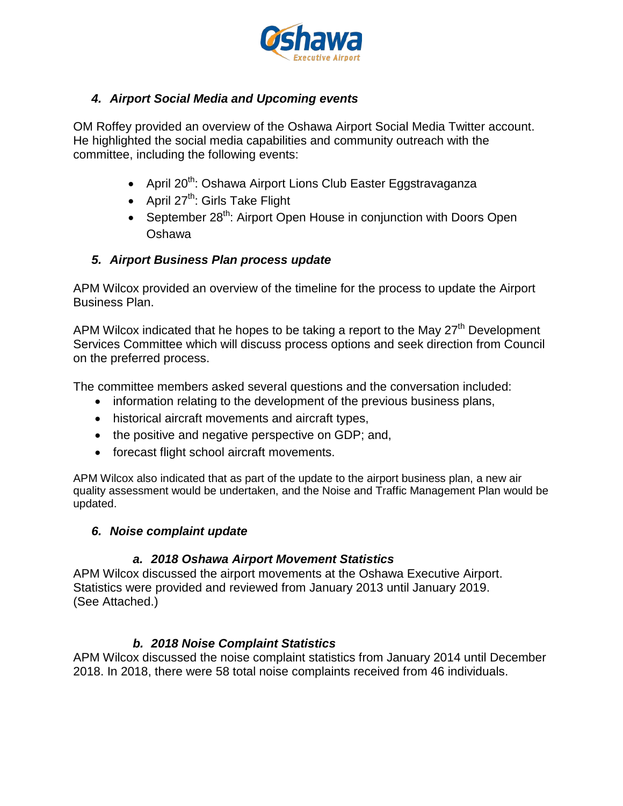

## *4. Airport Social Media and Upcoming events*

OM Roffey provided an overview of the Oshawa Airport Social Media Twitter account. He highlighted the social media capabilities and community outreach with the committee, including the following events:

- April 20<sup>th</sup>: Oshawa Airport Lions Club Easter Eggstravaganza
- April  $27^{th}$ : Girls Take Flight
- September 28<sup>th</sup>: Airport Open House in conjunction with Doors Open Oshawa

## *5. Airport Business Plan process update*

APM Wilcox provided an overview of the timeline for the process to update the Airport Business Plan.

APM Wilcox indicated that he hopes to be taking a report to the May  $27<sup>th</sup>$  Development Services Committee which will discuss process options and seek direction from Council on the preferred process.

The committee members asked several questions and the conversation included:

- information relating to the development of the previous business plans,
- historical aircraft movements and aircraft types,
- the positive and negative perspective on GDP; and,
- forecast flight school aircraft movements.

APM Wilcox also indicated that as part of the update to the airport business plan, a new air quality assessment would be undertaken, and the Noise and Traffic Management Plan would be updated.

#### *6. Noise complaint update*

#### *a. 2018 Oshawa Airport Movement Statistics*

APM Wilcox discussed the airport movements at the Oshawa Executive Airport. Statistics were provided and reviewed from January 2013 until January 2019. (See Attached.)

## *b. 2018 Noise Complaint Statistics*

APM Wilcox discussed the noise complaint statistics from January 2014 until December 2018. In 2018, there were 58 total noise complaints received from 46 individuals.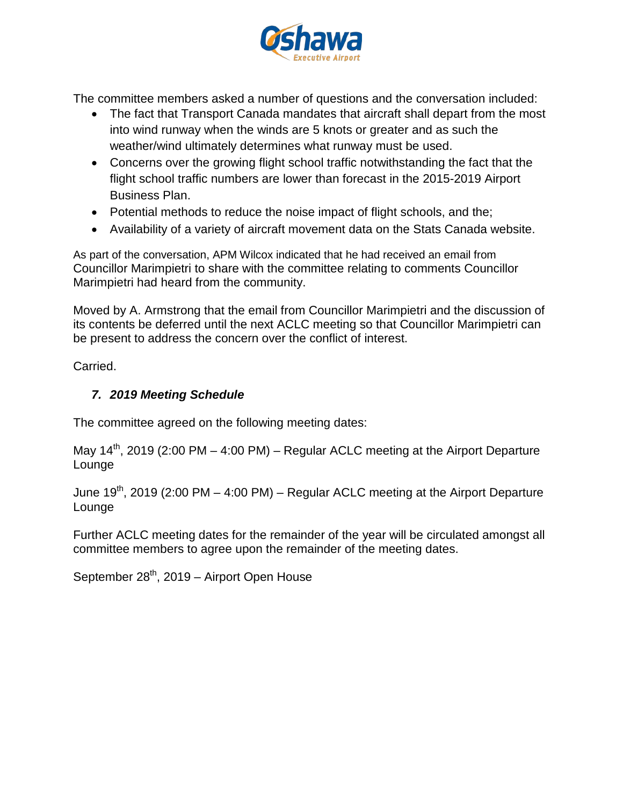

The committee members asked a number of questions and the conversation included:

- The fact that Transport Canada mandates that aircraft shall depart from the most into wind runway when the winds are 5 knots or greater and as such the weather/wind ultimately determines what runway must be used.
- Concerns over the growing flight school traffic notwithstanding the fact that the flight school traffic numbers are lower than forecast in the 2015-2019 Airport Business Plan.
- Potential methods to reduce the noise impact of flight schools, and the;
- Availability of a variety of aircraft movement data on the Stats Canada website.

As part of the conversation, APM Wilcox indicated that he had received an email from Councillor Marimpietri to share with the committee relating to comments Councillor Marimpietri had heard from the community.

Moved by A. Armstrong that the email from Councillor Marimpietri and the discussion of its contents be deferred until the next ACLC meeting so that Councillor Marimpietri can be present to address the concern over the conflict of interest.

Carried.

## *7. 2019 Meeting Schedule*

The committee agreed on the following meeting dates:

May  $14<sup>th</sup>$ , 2019 (2:00 PM – 4:00 PM) – Regular ACLC meeting at the Airport Departure Lounge

June  $19<sup>th</sup>$ , 2019 (2:00 PM – 4:00 PM) – Regular ACLC meeting at the Airport Departure Lounge

Further ACLC meeting dates for the remainder of the year will be circulated amongst all committee members to agree upon the remainder of the meeting dates.

September  $28<sup>th</sup>$ , 2019 – Airport Open House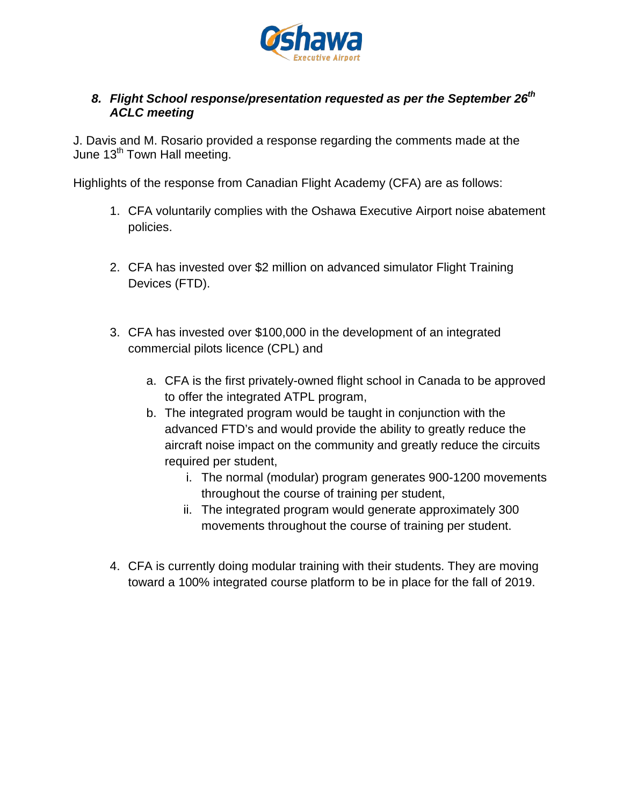

### *8. Flight School response/presentation requested as per the September 26th ACLC meeting*

J. Davis and M. Rosario provided a response regarding the comments made at the June 13<sup>th</sup> Town Hall meeting.

Highlights of the response from Canadian Flight Academy (CFA) are as follows:

- 1. CFA voluntarily complies with the Oshawa Executive Airport noise abatement policies.
- 2. CFA has invested over \$2 million on advanced simulator Flight Training Devices (FTD).
- 3. CFA has invested over \$100,000 in the development of an integrated commercial pilots licence (CPL) and
	- a. CFA is the first privately-owned flight school in Canada to be approved to offer the integrated ATPL program,
	- b. The integrated program would be taught in conjunction with the advanced FTD's and would provide the ability to greatly reduce the aircraft noise impact on the community and greatly reduce the circuits required per student,
		- i. The normal (modular) program generates 900-1200 movements throughout the course of training per student,
		- ii. The integrated program would generate approximately 300 movements throughout the course of training per student.
- 4. CFA is currently doing modular training with their students. They are moving toward a 100% integrated course platform to be in place for the fall of 2019.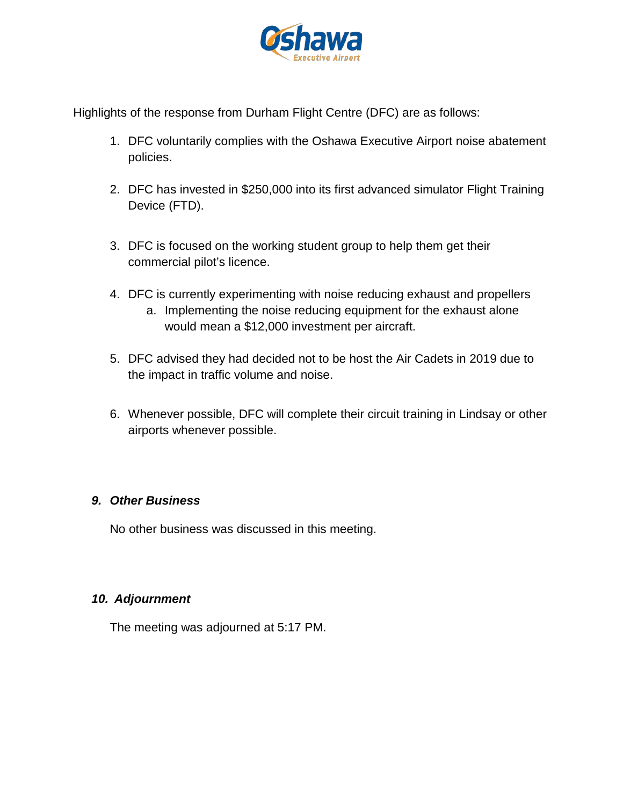

Highlights of the response from Durham Flight Centre (DFC) are as follows:

- 1. DFC voluntarily complies with the Oshawa Executive Airport noise abatement policies.
- 2. DFC has invested in \$250,000 into its first advanced simulator Flight Training Device (FTD).
- 3. DFC is focused on the working student group to help them get their commercial pilot's licence.
- 4. DFC is currently experimenting with noise reducing exhaust and propellers
	- a. Implementing the noise reducing equipment for the exhaust alone would mean a \$12,000 investment per aircraft.
- 5. DFC advised they had decided not to be host the Air Cadets in 2019 due to the impact in traffic volume and noise.
- 6. Whenever possible, DFC will complete their circuit training in Lindsay or other airports whenever possible.

## *9. Other Business*

No other business was discussed in this meeting.

## *10. Adjournment*

The meeting was adjourned at 5:17 PM.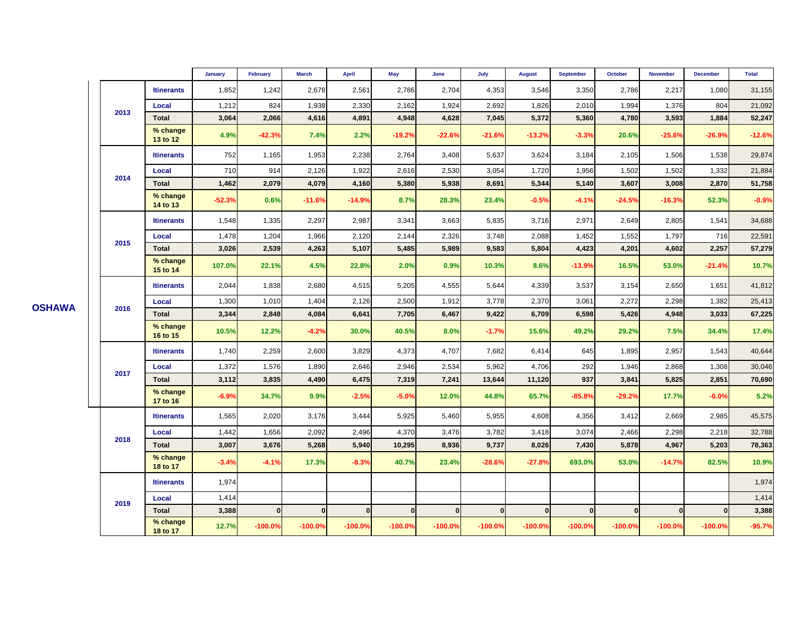|      |                      | <b>January</b> | February       | <b>March</b> | <b>April</b> | May          | June         | July         | <b>August</b> | <b>September</b> | October      | <b>November</b> | <b>December</b> | <b>Total</b> |
|------|----------------------|----------------|----------------|--------------|--------------|--------------|--------------|--------------|---------------|------------------|--------------|-----------------|-----------------|--------------|
| 2013 | <b>Itinerants</b>    | 1,852          | 1,242          | 2,678        | 2,561        | 2,786        | 2,704        | 4,353        | 3,546         | 3,350            | 2,786        | 2,217           | 1,080           | 31,155       |
|      | Local                | 1,212          | 824            | 1,938        | 2,330        | 2,162        | 1,924        | 2,692        | 1,826         | 2,010            | 1,994        | 1,376           | 804             | 21,092       |
|      | <b>Total</b>         | 3,064          | 2,066          | 4,616        | 4,891        | 4,948        | 4,628        | 7,045        | 5,372         | 5,360            | 4,780        | 3,593           | 1,884           | 52,247       |
|      | % change<br>13 to 12 | 4.9%           | $-42.3%$       | 7.4%         | 2.2%         | $-19.2%$     | $-22.6%$     | $-21.6%$     | $-13.2%$      | $-3.3%$          | 20.6%        | $-25.6%$        | $-26.9%$        | $-12.6%$     |
| 2014 | <b>Itinerants</b>    | 752            | 1,165          | 1,953        | 2,238        | 2,764        | 3,408        | 5,637        | 3,624         | 3,184            | 2,105        | 1,506           | 1,538           | 29,874       |
|      | Local                | 710            | 914            | 2,126        | 1,922        | 2,616        | 2,530        | 3,054        | 1,720         | 1,956            | 1,502        | 1,502           | 1,332           | 21,884       |
|      | <b>Total</b>         | 1,462          | 2,079          | 4,079        | 4,160        | 5,380        | 5,938        | 8,691        | 5,344         | 5,140            | 3,607        | 3,008           | 2,870           | 51,758       |
|      | % change<br>14 to 13 | $-52.3%$       | 0.6%           | $-11.6%$     | $-14.9%$     | 8.7%         | 28.3%        | 23.4%        | $-0.5%$       | $-4.1%$          | $-24.5%$     | $-16.3%$        | 52.3%           | $-0.9%$      |
| 2015 | <b>Itinerants</b>    | 1,548          | 1,335          | 2,297        | 2,987        | 3,341        | 3,663        | 5,835        | 3,716         | 2,971            | 2,649        | 2,805           | 1,541           | 34,688       |
|      | Local                | 1,478          | 1,204          | 1,966        | 2,120        | 2,144        | 2,326        | 3,748        | 2,088         | 1,452            | 1,552        | 1,797           | 716             | 22,591       |
|      | <b>Total</b>         | 3,026          | 2,539          | 4,263        | 5,107        | 5,485        | 5,989        | 9,583        | 5,804         | 4,423            | 4,201        | 4,602           | 2,257           | 57,279       |
|      | % change<br>15 to 14 | 107.0%         | 22.1%          | 4.5%         | 22.8%        | 2.0%         | 0.9%         | 10.3%        | 8.6%          | $-13.9%$         | 16.5%        | 53.0%           | $-21.4%$        | 10.7%        |
| 2016 | <b>Itinerants</b>    | 2,044          | 1,838          | 2,680        | 4,515        | 5,205        | 4,555        | 5,644        | 4,339         | 3,537            | 3,154        | 2,650           | 1,651           | 41,812       |
|      | Local                | 1,300          | 1,010          | 1,404        | 2,126        | 2,500        | 1,912        | 3,778        | 2,370         | 3,061            | 2,272        | 2,298           | 1,382           | 25,413       |
|      | <b>Total</b>         | 3,344          | 2,848          | 4,084        | 6,641        | 7,705        | 6,467        | 9,422        | 6,709         | 6,598            | 5,426        | 4,948           | 3,033           | 67,225       |
|      | % change<br>16 to 15 | 10.5%          | 12.2%          | $-4.2%$      | 30.0%        | 40.5%        | 8.0%         | $-1.7%$      | 15.6%         | 49.2%            | 29.2%        | 7.5%            | 34.4%           | 17.4%        |
| 2017 | <b>Itinerants</b>    | 1,740          | 2,259          | 2,600        | 3,829        | 4,373        | 4,707        | 7,682        | 6,414         | 645              | 1,895        | 2,957           | 1,543           | 40,644       |
|      | Local                | 1,372          | 1,576          | 1,890        | 2,646        | 2,946        | 2,534        | 5,962        | 4,706         | 292              | 1,946        | 2,868           | 1,308           | 30,046       |
|      | Total                | 3,112          | 3,835          | 4,490        | 6,475        | 7,319        | 7,241        | 13,644       | 11,120        | 937              | 3,841        | 5,825           | 2,851           | 70,690       |
|      | % change<br>17 to 16 | $-6.9%$        | 34.7%          | 9.9%         | $-2.5%$      | $-5.0%$      | 12.0%        | 44.8%        | 65.7%         | $-85.8%$         | $-29.2%$     | 17.7%           | $-6.0%$         | 5.2%         |
| 2018 | <b>Itinerants</b>    | 1,565          | 2,020          | 3,176        | 3,444        | 5,925        | 5,460        | 5,955        | 4,608         | 4,356            | 3,412        | 2,669           | 2,985           | 45,575       |
|      | Local                | 1,442          | 1,656          | 2,092        | 2,496        | 4,370        | 3,476        | 3,782        | 3,418         | 3,074            | 2,466        | 2,298           | 2,218           | 32,788       |
|      | <b>Total</b>         | 3,007          | 3,676          | 5,268        | 5,940        | 10,295       | 8,936        | 9,737        | 8,026         | 7,430            | 5,878        | 4,967           | 5,203           | 78,363       |
|      | % change<br>18 to 17 | $-3.4%$        | $-4.1%$        | 17.3%        | $-8.3%$      | 40.7%        | 23.4%        | $-28.6%$     | $-27.8%$      | 693.0%           | 53.0%        | $-14.7%$        | 82.5%           | 10.9%        |
| 2019 | <b>Itinerants</b>    | 1,974          |                |              |              |              |              |              |               |                  |              |                 |                 | 1,974        |
|      | Local                | 1,414          |                |              |              |              |              |              |               |                  |              |                 |                 | 1,414        |
|      | <b>Total</b>         | 3,388          | $\overline{0}$ | $\mathbf 0$  | $\mathbf{0}$ | $\mathbf{0}$ | $\mathbf{0}$ | $\mathbf{0}$ | $\mathbf{0}$  | $\mathbf{0}$     | $\mathbf{0}$ | $\mathbf{0}$    | $\Omega$        | 3,388        |
|      | % change<br>18 to 17 | 12.7%          | $-100.0%$      | $-100.0%$    | $-100.0%$    | $-100.0%$    | $-100.0%$    | $-100.0%$    | $-100.0%$     | $-100.0%$        | $-100.0%$    | $-100.0%$       | $-100.0%$       | $-95.7%$     |

**OSHAWA**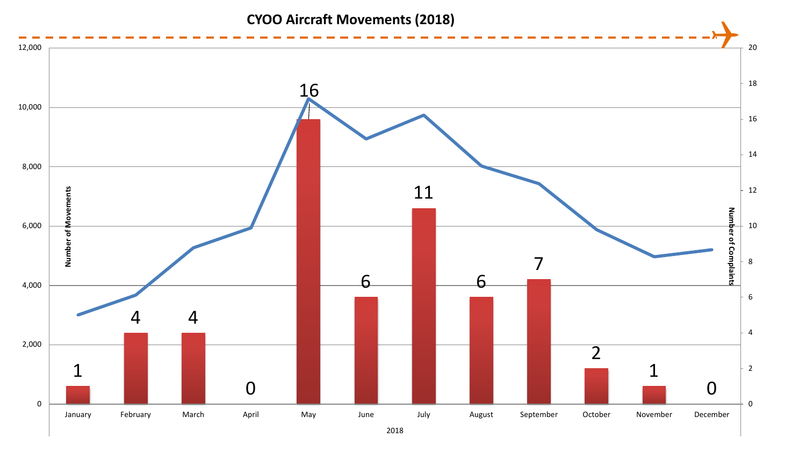# **CYOO Aircraft Movements (2018)**